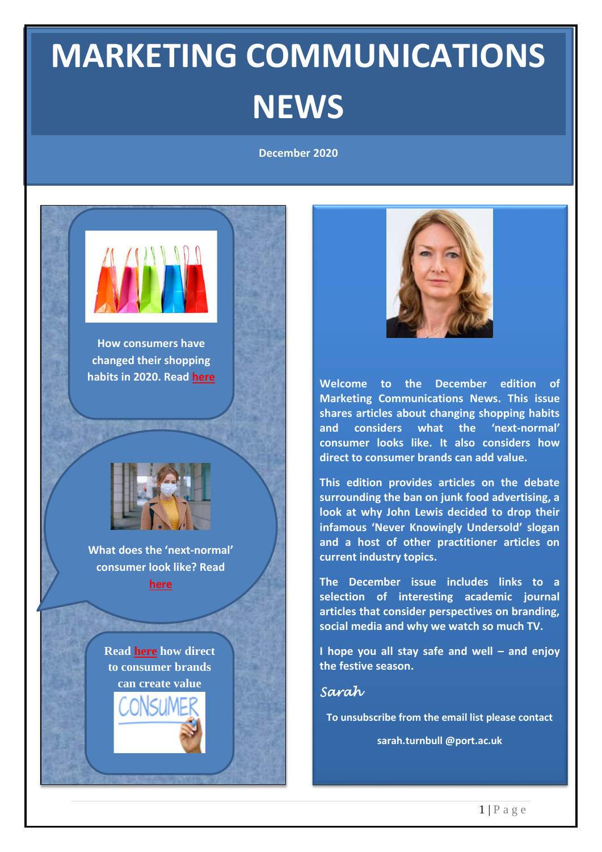## **MARKETING COMMUNICATIONS NEWS**

**December 2020**





**Welcome to the December edition of Marketing Communications News. This issue shares articles about changing shopping habits and considers what the 'next-normal' consumer looks like. It also considers how direct to consumer brands can add value.**

**This edition provides articles on the debate surrounding the ban on junk food advertising, a look at why John Lewis decided to drop their infamous 'Never Knowingly Undersold' slogan and a host of other practitioner articles on current industry topics.**

**The December issue includes links to a selection of interesting academic journal articles that consider perspectives on branding, social media and why we watch so much TV.**

**I hope you all stay safe and well – and enjoy the festive season.**

*Sarah* 

**To unsubscribe from the email list please contact**

**sarah.turnbull @port.ac.uk**